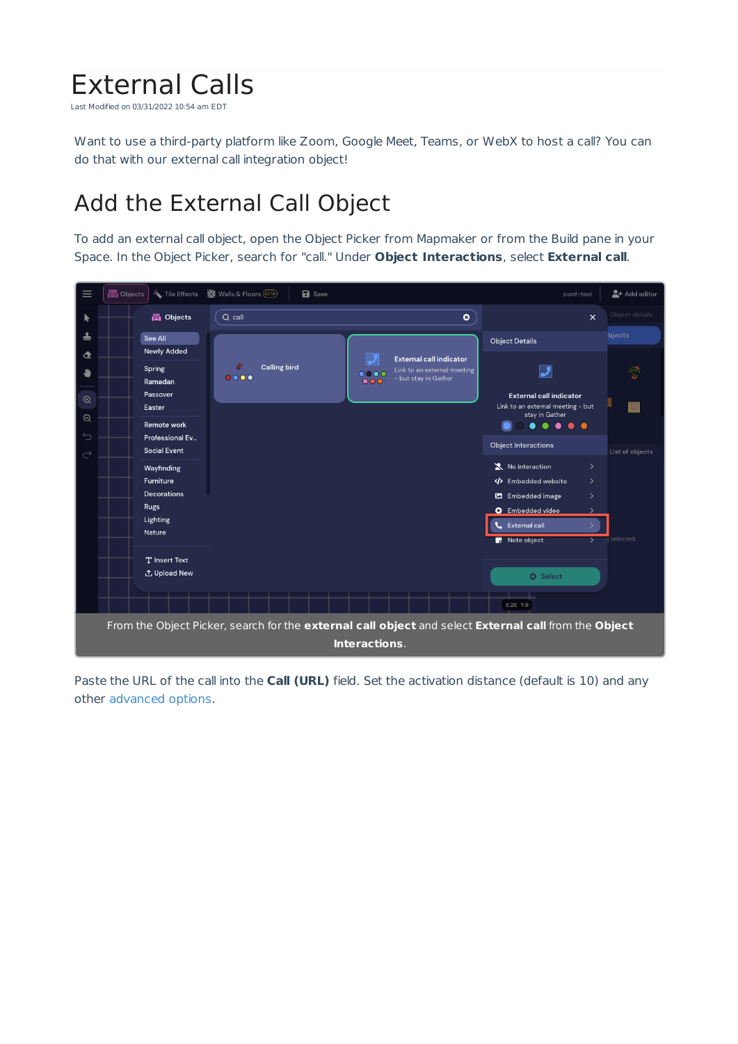## External Calls

Last Modified on 03/31/2022 10:54 am EDT

Want to use a third-party platform like Zoom, Google Meet, Teams, or WebX to host a call? You can do that with our external call integration object!

## Add the External Call Object

To add an external call object, open the Object Picker from Mapmaker or from the Build pane in your Space. In the Object Picker, search for "call." Under **Object Interactions**, select **External call**.



Paste the URL of the call into the **Call (URL)** field. Set the activation distance (default is 10) and any other advanced options.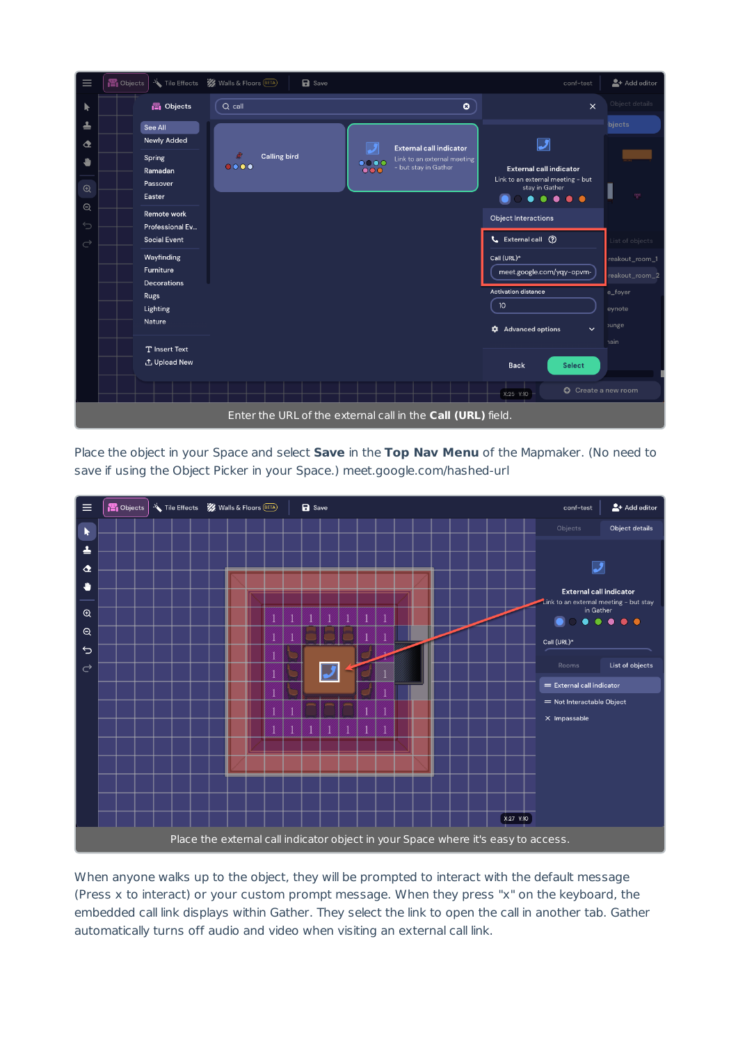

Place the object in your Space and select **Save** in the **Top Nav Menu** of the Mapmaker. (No need to save if using the Object Picker in your Space.) meet.google.com/hashed-url



When anyone walks up to the object, they will be prompted to interact with the default message (Press x to interact) or your custom prompt message. When they press "x" on the keyboard, the embedded call link displays within Gather. They select the link to open the call in another tab. Gather automatically turns off audio and video when visiting an external call link.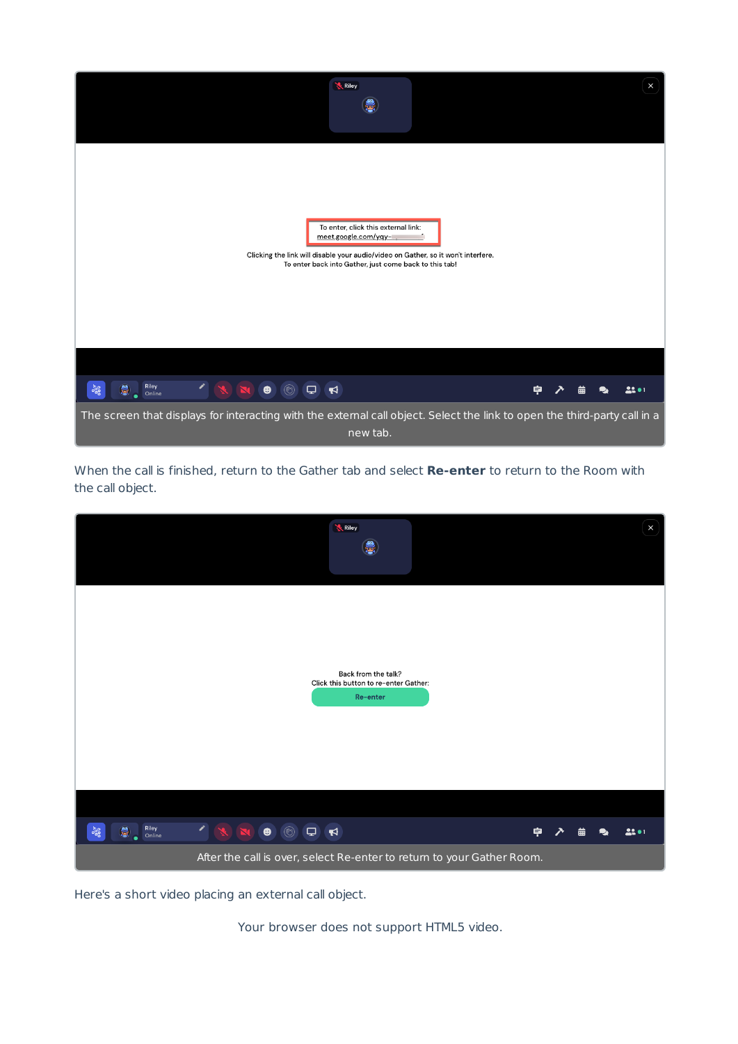

When the call is finished, return to the Gather tab and select **Re-enter** to return to the Room with the call object.

| Riley                                                                                 |        |   |   | $\boldsymbol{\mathsf{x}}$ |
|---------------------------------------------------------------------------------------|--------|---|---|---------------------------|
|                                                                                       |        |   |   |                           |
| Back from the talk?<br>Click this button to re-enter Gather:<br>Re-enter              |        |   |   |                           |
|                                                                                       |        |   |   |                           |
|                                                                                       |        |   |   |                           |
| $\epsilon$<br>Riley<br>Online<br>OOON<br>$\overline{\mathbf{P}}$<br>$\frac{957}{900}$ | 후<br>↗ | 曲 | ∙ | 22.01                     |
| After the call is over, select Re-enter to return to your Gather Room.                |        |   |   |                           |

Here's a short video placing an external call object.

Your browser does not support HTML5 video.